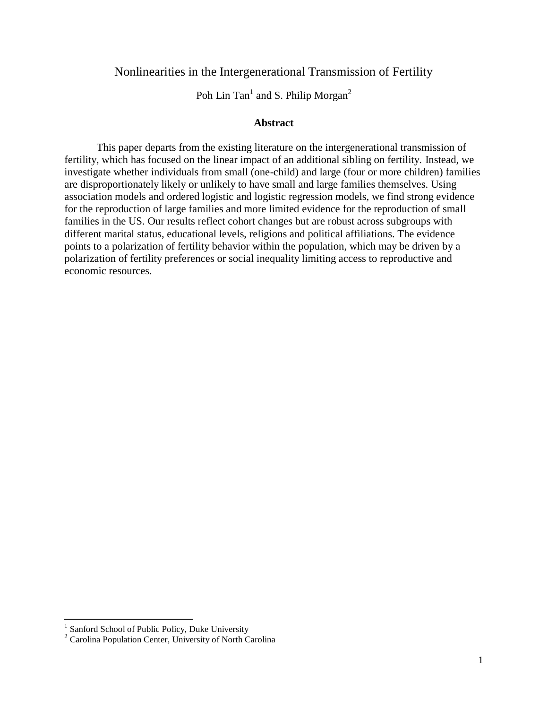## Nonlinearities in the Intergenerational Transmission of Fertility

Poh Lin Tan<sup>1</sup> and S. Philip Morgan<sup>2</sup>

#### **Abstract**

This paper departs from the existing literature on the intergenerational transmission of fertility, which has focused on the linear impact of an additional sibling on fertility. Instead, we investigate whether individuals from small (one-child) and large (four or more children) families are disproportionately likely or unlikely to have small and large families themselves. Using association models and ordered logistic and logistic regression models, we find strong evidence for the reproduction of large families and more limited evidence for the reproduction of small families in the US. Our results reflect cohort changes but are robust across subgroups with different marital status, educational levels, religions and political affiliations. The evidence points to a polarization of fertility behavior within the population, which may be driven by a polarization of fertility preferences or social inequality limiting access to reproductive and economic resources.

<sup>&</sup>lt;sup>1</sup> Sanford School of Public Policy, Duke University

<sup>2</sup> Carolina Population Center, University of North Carolina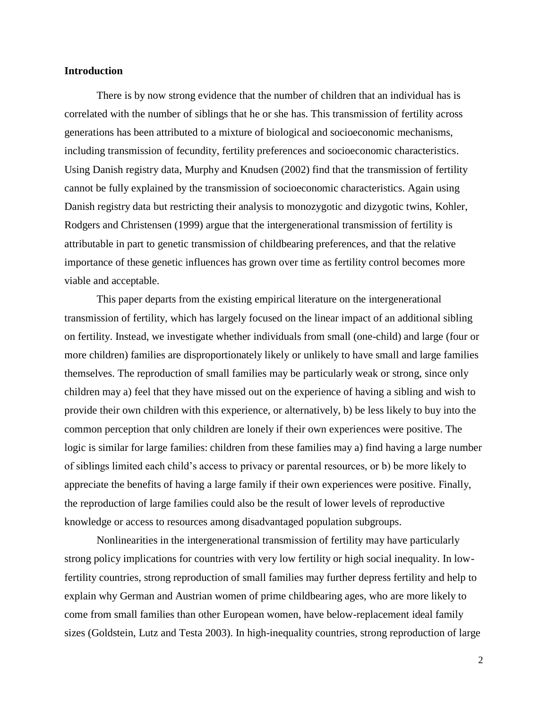#### **Introduction**

There is by now strong evidence that the number of children that an individual has is correlated with the number of siblings that he or she has. This transmission of fertility across generations has been attributed to a mixture of biological and socioeconomic mechanisms, including transmission of fecundity, fertility preferences and socioeconomic characteristics. Using Danish registry data, Murphy and Knudsen (2002) find that the transmission of fertility cannot be fully explained by the transmission of socioeconomic characteristics. Again using Danish registry data but restricting their analysis to monozygotic and dizygotic twins, Kohler, Rodgers and Christensen (1999) argue that the intergenerational transmission of fertility is attributable in part to genetic transmission of childbearing preferences, and that the relative importance of these genetic influences has grown over time as fertility control becomes more viable and acceptable.

This paper departs from the existing empirical literature on the intergenerational transmission of fertility, which has largely focused on the linear impact of an additional sibling on fertility. Instead, we investigate whether individuals from small (one-child) and large (four or more children) families are disproportionately likely or unlikely to have small and large families themselves. The reproduction of small families may be particularly weak or strong, since only children may a) feel that they have missed out on the experience of having a sibling and wish to provide their own children with this experience, or alternatively, b) be less likely to buy into the common perception that only children are lonely if their own experiences were positive. The logic is similar for large families: children from these families may a) find having a large number of siblings limited each child's access to privacy or parental resources, or b) be more likely to appreciate the benefits of having a large family if their own experiences were positive. Finally, the reproduction of large families could also be the result of lower levels of reproductive knowledge or access to resources among disadvantaged population subgroups.

Nonlinearities in the intergenerational transmission of fertility may have particularly strong policy implications for countries with very low fertility or high social inequality. In lowfertility countries, strong reproduction of small families may further depress fertility and help to explain why German and Austrian women of prime childbearing ages, who are more likely to come from small families than other European women, have below-replacement ideal family sizes (Goldstein, Lutz and Testa 2003). In high-inequality countries, strong reproduction of large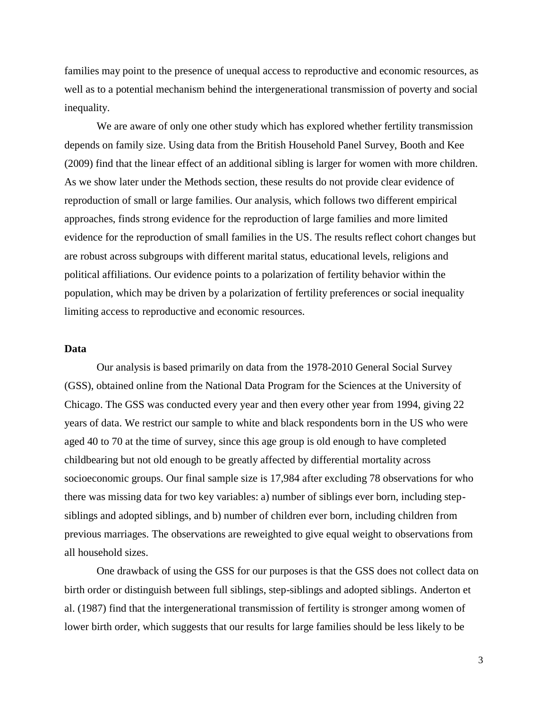families may point to the presence of unequal access to reproductive and economic resources, as well as to a potential mechanism behind the intergenerational transmission of poverty and social inequality.

We are aware of only one other study which has explored whether fertility transmission depends on family size. Using data from the British Household Panel Survey, Booth and Kee (2009) find that the linear effect of an additional sibling is larger for women with more children. As we show later under the Methods section, these results do not provide clear evidence of reproduction of small or large families. Our analysis, which follows two different empirical approaches, finds strong evidence for the reproduction of large families and more limited evidence for the reproduction of small families in the US. The results reflect cohort changes but are robust across subgroups with different marital status, educational levels, religions and political affiliations. Our evidence points to a polarization of fertility behavior within the population, which may be driven by a polarization of fertility preferences or social inequality limiting access to reproductive and economic resources.

#### **Data**

Our analysis is based primarily on data from the 1978-2010 General Social Survey (GSS), obtained online from the National Data Program for the Sciences at the University of Chicago. The GSS was conducted every year and then every other year from 1994, giving 22 years of data. We restrict our sample to white and black respondents born in the US who were aged 40 to 70 at the time of survey, since this age group is old enough to have completed childbearing but not old enough to be greatly affected by differential mortality across socioeconomic groups. Our final sample size is 17,984 after excluding 78 observations for who there was missing data for two key variables: a) number of siblings ever born, including stepsiblings and adopted siblings, and b) number of children ever born, including children from previous marriages. The observations are reweighted to give equal weight to observations from all household sizes.

One drawback of using the GSS for our purposes is that the GSS does not collect data on birth order or distinguish between full siblings, step-siblings and adopted siblings. Anderton et al. (1987) find that the intergenerational transmission of fertility is stronger among women of lower birth order, which suggests that our results for large families should be less likely to be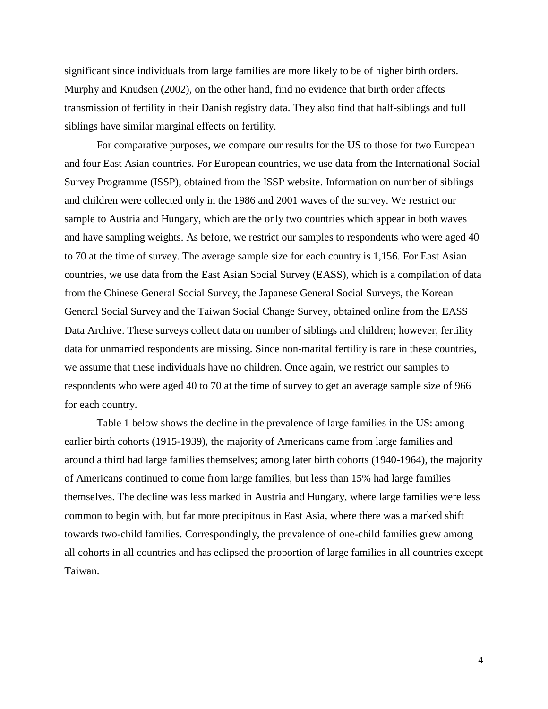significant since individuals from large families are more likely to be of higher birth orders. Murphy and Knudsen (2002), on the other hand, find no evidence that birth order affects transmission of fertility in their Danish registry data. They also find that half-siblings and full siblings have similar marginal effects on fertility.

For comparative purposes, we compare our results for the US to those for two European and four East Asian countries. For European countries, we use data from the International Social Survey Programme (ISSP), obtained from the ISSP website. Information on number of siblings and children were collected only in the 1986 and 2001 waves of the survey. We restrict our sample to Austria and Hungary, which are the only two countries which appear in both waves and have sampling weights. As before, we restrict our samples to respondents who were aged 40 to 70 at the time of survey. The average sample size for each country is 1,156. For East Asian countries, we use data from the East Asian Social Survey (EASS), which is a compilation of data from the Chinese General Social Survey, the Japanese General Social Surveys, the Korean General Social Survey and the Taiwan Social Change Survey, obtained online from the EASS Data Archive. These surveys collect data on number of siblings and children; however, fertility data for unmarried respondents are missing. Since non-marital fertility is rare in these countries, we assume that these individuals have no children. Once again, we restrict our samples to respondents who were aged 40 to 70 at the time of survey to get an average sample size of 966 for each country.

Table 1 below shows the decline in the prevalence of large families in the US: among earlier birth cohorts (1915-1939), the majority of Americans came from large families and around a third had large families themselves; among later birth cohorts (1940-1964), the majority of Americans continued to come from large families, but less than 15% had large families themselves. The decline was less marked in Austria and Hungary, where large families were less common to begin with, but far more precipitous in East Asia, where there was a marked shift towards two-child families. Correspondingly, the prevalence of one-child families grew among all cohorts in all countries and has eclipsed the proportion of large families in all countries except Taiwan.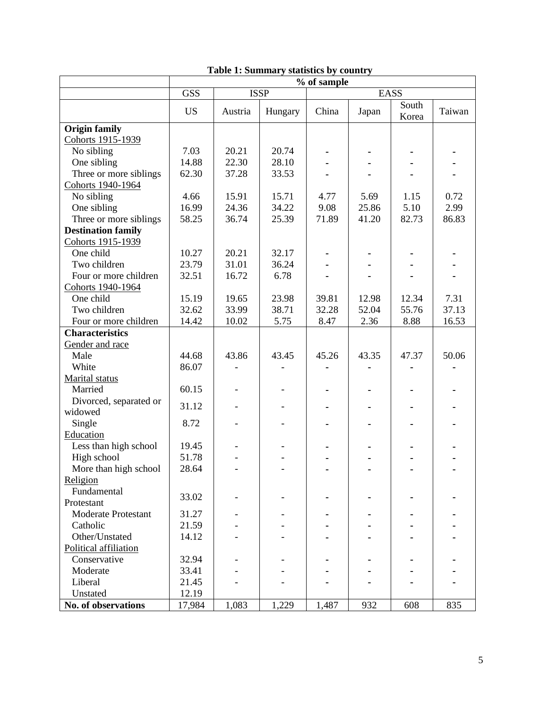|                            |            |         |             | % of sample |       |                |        |
|----------------------------|------------|---------|-------------|-------------|-------|----------------|--------|
|                            | <b>GSS</b> |         | <b>ISSP</b> |             |       | <b>EASS</b>    |        |
|                            | <b>US</b>  | Austria | Hungary     | China       | Japan | South<br>Korea | Taiwan |
| <b>Origin family</b>       |            |         |             |             |       |                |        |
| Cohorts 1915-1939          |            |         |             |             |       |                |        |
| No sibling                 | 7.03       | 20.21   | 20.74       |             |       |                |        |
| One sibling                | 14.88      | 22.30   | 28.10       |             |       |                |        |
| Three or more siblings     | 62.30      | 37.28   | 33.53       |             |       |                |        |
| Cohorts 1940-1964          |            |         |             |             |       |                |        |
| No sibling                 | 4.66       | 15.91   | 15.71       | 4.77        | 5.69  | 1.15           | 0.72   |
| One sibling                | 16.99      | 24.36   | 34.22       | 9.08        | 25.86 | 5.10           | 2.99   |
| Three or more siblings     | 58.25      | 36.74   | 25.39       | 71.89       | 41.20 | 82.73          | 86.83  |
| <b>Destination family</b>  |            |         |             |             |       |                |        |
| Cohorts 1915-1939          |            |         |             |             |       |                |        |
| One child                  | 10.27      | 20.21   | 32.17       |             |       |                |        |
| Two children               | 23.79      | 31.01   | 36.24       |             |       |                |        |
| Four or more children      | 32.51      | 16.72   | 6.78        |             |       |                |        |
| Cohorts 1940-1964          |            |         |             |             |       |                |        |
| One child                  | 15.19      | 19.65   | 23.98       | 39.81       | 12.98 | 12.34          | 7.31   |
| Two children               | 32.62      | 33.99   | 38.71       | 32.28       | 52.04 | 55.76          | 37.13  |
| Four or more children      | 14.42      | 10.02   | 5.75        | 8.47        | 2.36  | 8.88           | 16.53  |
| <b>Characteristics</b>     |            |         |             |             |       |                |        |
| Gender and race            |            |         |             |             |       |                |        |
| Male                       | 44.68      | 43.86   | 43.45       | 45.26       | 43.35 | 47.37          | 50.06  |
| White                      | 86.07      |         |             |             |       |                |        |
| Marital status             |            |         |             |             |       |                |        |
| Married                    | 60.15      |         |             |             |       |                |        |
| Divorced, separated or     |            |         |             |             |       |                |        |
| widowed                    | 31.12      |         |             |             |       |                |        |
| Single                     | 8.72       |         |             |             |       |                |        |
| Education                  |            |         |             |             |       |                |        |
| Less than high school      | 19.45      |         |             |             |       |                |        |
| High school                | 51.78      |         |             |             |       |                |        |
| More than high school      | 28.64      |         |             |             |       |                |        |
| Religion                   |            |         |             |             |       |                |        |
| Fundamental                |            |         |             |             |       |                |        |
| Protestant                 | 33.02      |         |             |             |       |                |        |
| <b>Moderate Protestant</b> | 31.27      |         |             |             |       |                |        |
| Catholic                   | 21.59      |         |             |             |       |                |        |
| Other/Unstated             | 14.12      |         |             |             |       |                |        |
| Political affiliation      |            |         |             |             |       |                |        |
| Conservative               | 32.94      |         |             |             |       |                |        |
| Moderate                   | 33.41      |         |             |             |       |                |        |
| Liberal                    | 21.45      |         |             |             |       |                |        |
| Unstated                   | 12.19      |         |             |             |       |                |        |
| No. of observations        | 17,984     | 1,083   | 1,229       | 1,487       | 932   | 608            | 835    |

# **Table 1: Summary statistics by country**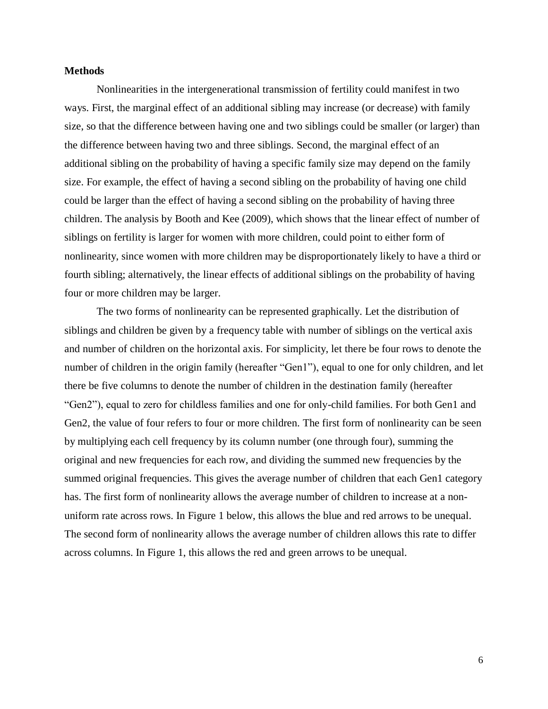#### **Methods**

Nonlinearities in the intergenerational transmission of fertility could manifest in two ways. First, the marginal effect of an additional sibling may increase (or decrease) with family size, so that the difference between having one and two siblings could be smaller (or larger) than the difference between having two and three siblings. Second, the marginal effect of an additional sibling on the probability of having a specific family size may depend on the family size. For example, the effect of having a second sibling on the probability of having one child could be larger than the effect of having a second sibling on the probability of having three children. The analysis by Booth and Kee (2009), which shows that the linear effect of number of siblings on fertility is larger for women with more children, could point to either form of nonlinearity, since women with more children may be disproportionately likely to have a third or fourth sibling; alternatively, the linear effects of additional siblings on the probability of having four or more children may be larger.

The two forms of nonlinearity can be represented graphically. Let the distribution of siblings and children be given by a frequency table with number of siblings on the vertical axis and number of children on the horizontal axis. For simplicity, let there be four rows to denote the number of children in the origin family (hereafter "Gen1"), equal to one for only children, and let there be five columns to denote the number of children in the destination family (hereafter "Gen2"), equal to zero for childless families and one for only-child families. For both Gen1 and Gen2, the value of four refers to four or more children. The first form of nonlinearity can be seen by multiplying each cell frequency by its column number (one through four), summing the original and new frequencies for each row, and dividing the summed new frequencies by the summed original frequencies. This gives the average number of children that each Gen1 category has. The first form of nonlinearity allows the average number of children to increase at a nonuniform rate across rows. In Figure 1 below, this allows the blue and red arrows to be unequal. The second form of nonlinearity allows the average number of children allows this rate to differ across columns. In Figure 1, this allows the red and green arrows to be unequal.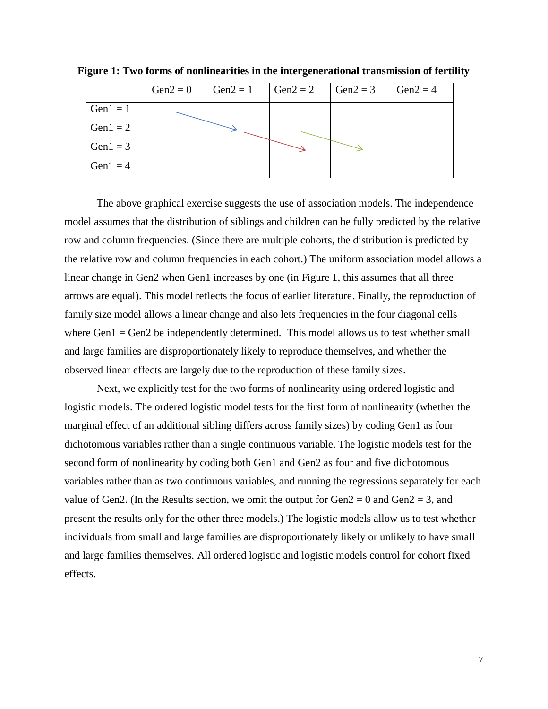|             | $Gen2 = 0$ | $Gen2 = 1$ | $Gen2 = 2$ | $Gen2 = 3$ | Gen2 = $4$ |
|-------------|------------|------------|------------|------------|------------|
| $Gen1 = 1$  |            |            |            |            |            |
| Gen $1 = 2$ |            |            |            |            |            |
| Gen $1 = 3$ |            |            |            |            |            |
| Gen $1 = 4$ |            |            |            |            |            |

**Figure 1: Two forms of nonlinearities in the intergenerational transmission of fertility**

The above graphical exercise suggests the use of association models. The independence model assumes that the distribution of siblings and children can be fully predicted by the relative row and column frequencies. (Since there are multiple cohorts, the distribution is predicted by the relative row and column frequencies in each cohort.) The uniform association model allows a linear change in Gen2 when Gen1 increases by one (in Figure 1, this assumes that all three arrows are equal). This model reflects the focus of earlier literature. Finally, the reproduction of family size model allows a linear change and also lets frequencies in the four diagonal cells where  $Gen1 = Gen2$  be independently determined. This model allows us to test whether small and large families are disproportionately likely to reproduce themselves, and whether the observed linear effects are largely due to the reproduction of these family sizes.

Next, we explicitly test for the two forms of nonlinearity using ordered logistic and logistic models. The ordered logistic model tests for the first form of nonlinearity (whether the marginal effect of an additional sibling differs across family sizes) by coding Gen1 as four dichotomous variables rather than a single continuous variable. The logistic models test for the second form of nonlinearity by coding both Gen1 and Gen2 as four and five dichotomous variables rather than as two continuous variables, and running the regressions separately for each value of Gen2. (In the Results section, we omit the output for Gen2 = 0 and Gen2 = 3, and present the results only for the other three models.) The logistic models allow us to test whether individuals from small and large families are disproportionately likely or unlikely to have small and large families themselves. All ordered logistic and logistic models control for cohort fixed effects.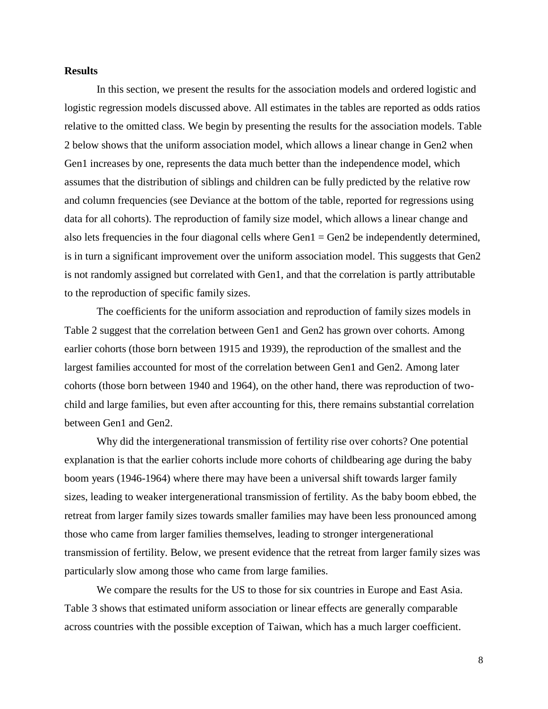#### **Results**

In this section, we present the results for the association models and ordered logistic and logistic regression models discussed above. All estimates in the tables are reported as odds ratios relative to the omitted class. We begin by presenting the results for the association models. Table 2 below shows that the uniform association model, which allows a linear change in Gen2 when Gen1 increases by one, represents the data much better than the independence model, which assumes that the distribution of siblings and children can be fully predicted by the relative row and column frequencies (see Deviance at the bottom of the table, reported for regressions using data for all cohorts). The reproduction of family size model, which allows a linear change and also lets frequencies in the four diagonal cells where Gen1 = Gen2 be independently determined, is in turn a significant improvement over the uniform association model. This suggests that Gen2 is not randomly assigned but correlated with Gen1, and that the correlation is partly attributable to the reproduction of specific family sizes.

The coefficients for the uniform association and reproduction of family sizes models in Table 2 suggest that the correlation between Gen1 and Gen2 has grown over cohorts. Among earlier cohorts (those born between 1915 and 1939), the reproduction of the smallest and the largest families accounted for most of the correlation between Gen1 and Gen2. Among later cohorts (those born between 1940 and 1964), on the other hand, there was reproduction of twochild and large families, but even after accounting for this, there remains substantial correlation between Gen1 and Gen2.

Why did the intergenerational transmission of fertility rise over cohorts? One potential explanation is that the earlier cohorts include more cohorts of childbearing age during the baby boom years (1946-1964) where there may have been a universal shift towards larger family sizes, leading to weaker intergenerational transmission of fertility. As the baby boom ebbed, the retreat from larger family sizes towards smaller families may have been less pronounced among those who came from larger families themselves, leading to stronger intergenerational transmission of fertility. Below, we present evidence that the retreat from larger family sizes was particularly slow among those who came from large families.

We compare the results for the US to those for six countries in Europe and East Asia. Table 3 shows that estimated uniform association or linear effects are generally comparable across countries with the possible exception of Taiwan, which has a much larger coefficient.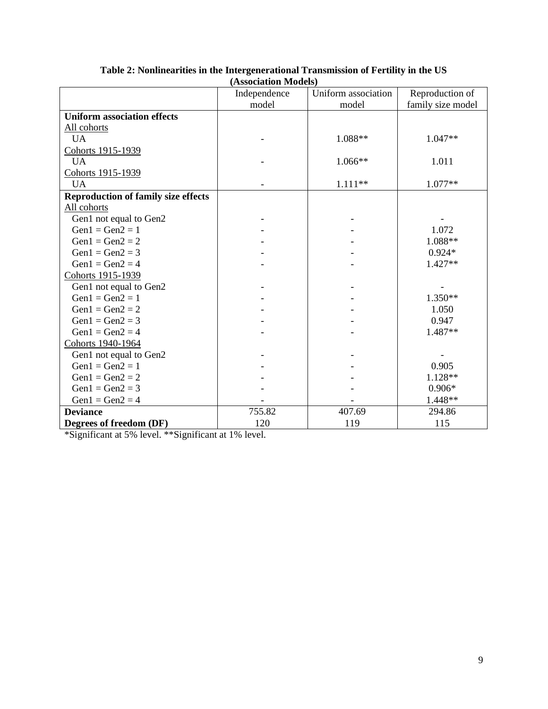|                                            | (Association iviouels) |                     |                   |
|--------------------------------------------|------------------------|---------------------|-------------------|
|                                            | Independence           | Uniform association | Reproduction of   |
|                                            | model                  | model               | family size model |
| <b>Uniform association effects</b>         |                        |                     |                   |
| All cohorts                                |                        |                     |                   |
| <b>UA</b>                                  |                        | 1.088**             | $1.047**$         |
| Cohorts 1915-1939                          |                        |                     |                   |
| <b>UA</b>                                  |                        | 1.066**             | 1.011             |
| Cohorts 1915-1939                          |                        |                     |                   |
| <b>UA</b>                                  |                        | 1.111**             | 1.077**           |
| <b>Reproduction of family size effects</b> |                        |                     |                   |
| All cohorts                                |                        |                     |                   |
| Gen1 not equal to Gen2                     |                        |                     |                   |
| $Gen1 = Gen2 = 1$                          |                        |                     | 1.072             |
| $Gen1 = Gen2 = 2$                          |                        |                     | 1.088**           |
| $Gen1 = Gen2 = 3$                          |                        |                     | $0.924*$          |
| $Gen1 = Gen2 = 4$                          |                        |                     | $1.427**$         |
| Cohorts 1915-1939                          |                        |                     |                   |
| Gen1 not equal to Gen2                     |                        |                     |                   |
| $Gen1 = Gen2 = 1$                          |                        |                     | $1.350**$         |
| $Gen1 = Gen2 = 2$                          |                        |                     | 1.050             |
| $Gen1 = Gen2 = 3$                          |                        |                     | 0.947             |
| $Gen1 = Gen2 = 4$                          |                        |                     | 1.487**           |
| Cohorts 1940-1964                          |                        |                     |                   |
| Gen1 not equal to Gen2                     |                        |                     |                   |
| $Gen1 = Gen2 = 1$                          |                        |                     | 0.905             |
| $Gen1 = Gen2 = 2$                          |                        |                     | 1.128**           |
| $Gen1 = Gen2 = 3$                          |                        |                     | $0.906*$          |
| $Gen1 = Gen2 = 4$                          |                        |                     | 1.448**           |
| <b>Deviance</b>                            | 755.82                 | 407.69              | 294.86            |
| Degrees of freedom (DF)                    | 120                    | 119                 | 115               |

**Table 2: Nonlinearities in the Intergenerational Transmission of Fertility in the US (Association Models)**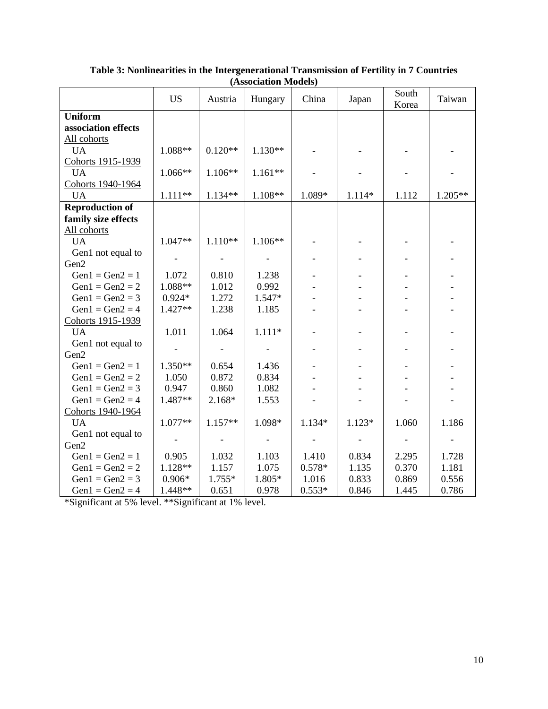|                        | <b>US</b> | Austria   | Hungary   | China    | Japan  | South<br>Korea | Taiwan  |
|------------------------|-----------|-----------|-----------|----------|--------|----------------|---------|
| <b>Uniform</b>         |           |           |           |          |        |                |         |
| association effects    |           |           |           |          |        |                |         |
| All cohorts            |           |           |           |          |        |                |         |
| <b>UA</b>              | 1.088**   | $0.120**$ | $1.130**$ |          |        |                |         |
| Cohorts 1915-1939      |           |           |           |          |        |                |         |
| <b>UA</b>              | 1.066**   | 1.106**   | $1.161**$ |          |        |                |         |
| Cohorts 1940-1964      |           |           |           |          |        |                |         |
| <b>UA</b>              | $1.111**$ | 1.134**   | 1.108**   | 1.089*   | 1.114* | 1.112          | 1.205** |
| <b>Reproduction of</b> |           |           |           |          |        |                |         |
| family size effects    |           |           |           |          |        |                |         |
| All cohorts            |           |           |           |          |        |                |         |
| <b>UA</b>              | $1.047**$ | $1.110**$ | 1.106**   |          |        |                |         |
| Gen1 not equal to      |           |           |           |          |        |                |         |
| Gen2                   |           |           |           |          |        |                |         |
| $Gen1 = Gen2 = 1$      | 1.072     | 0.810     | 1.238     |          |        |                |         |
| $Gen1 = Gen2 = 2$      | 1.088**   | 1.012     | 0.992     |          |        |                |         |
| $Gen1 = Gen2 = 3$      | $0.924*$  | 1.272     | 1.547*    |          |        |                |         |
| $Gen1 = Gen2 = 4$      | 1.427**   | 1.238     | 1.185     |          |        |                |         |
| Cohorts 1915-1939      |           |           |           |          |        |                |         |
| <b>UA</b>              | 1.011     | 1.064     | $1.111*$  |          |        |                |         |
| Gen1 not equal to      |           |           |           |          |        |                |         |
| Gen2                   |           |           |           |          |        |                |         |
| $Gen1 = Gen2 = 1$      | 1.350**   | 0.654     | 1.436     |          |        |                |         |
| $Gen1 = Gen2 = 2$      | 1.050     | 0.872     | 0.834     |          |        |                |         |
| $Gen1 = Gen2 = 3$      | 0.947     | 0.860     | 1.082     |          |        |                |         |
| $Gen1 = Gen2 = 4$      | 1.487**   | 2.168*    | 1.553     |          |        |                |         |
| Cohorts 1940-1964      |           |           |           |          |        |                |         |
| <b>UA</b>              | 1.077**   | $1.157**$ | 1.098*    | 1.134*   | 1.123* | 1.060          | 1.186   |
| Gen1 not equal to      |           |           |           |          |        |                |         |
| Gen2                   |           |           |           |          |        |                |         |
| $Gen1 = Gen2 = 1$      | 0.905     | 1.032     | 1.103     | 1.410    | 0.834  | 2.295          | 1.728   |
| $Gen1 = Gen2 = 2$      | 1.128**   | 1.157     | 1.075     | $0.578*$ | 1.135  | 0.370          | 1.181   |
| $Gen1 = Gen2 = 3$      | $0.906*$  | 1.755*    | 1.805*    | 1.016    | 0.833  | 0.869          | 0.556   |
| $Gen1 = Gen2 = 4$      | 1.448**   | 0.651     | 0.978     | $0.553*$ | 0.846  | 1.445          | 0.786   |

**Table 3: Nonlinearities in the Intergenerational Transmission of Fertility in 7 Countries (Association Models)**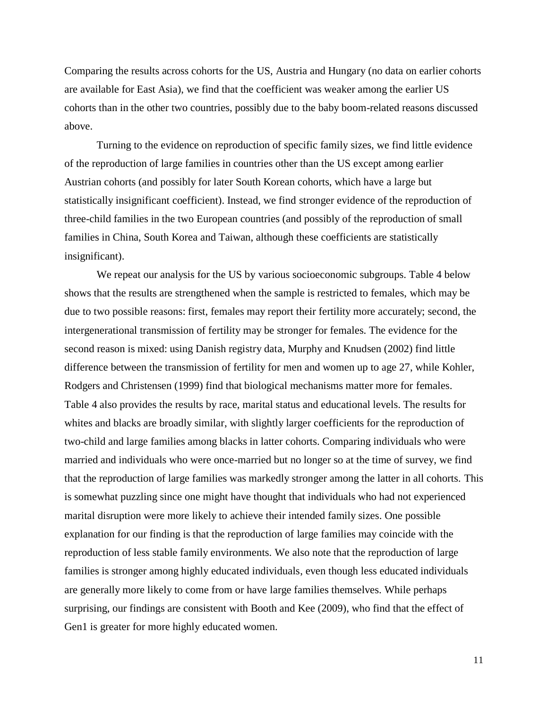Comparing the results across cohorts for the US, Austria and Hungary (no data on earlier cohorts are available for East Asia), we find that the coefficient was weaker among the earlier US cohorts than in the other two countries, possibly due to the baby boom-related reasons discussed above.

Turning to the evidence on reproduction of specific family sizes, we find little evidence of the reproduction of large families in countries other than the US except among earlier Austrian cohorts (and possibly for later South Korean cohorts, which have a large but statistically insignificant coefficient). Instead, we find stronger evidence of the reproduction of three-child families in the two European countries (and possibly of the reproduction of small families in China, South Korea and Taiwan, although these coefficients are statistically insignificant).

We repeat our analysis for the US by various socioeconomic subgroups. Table 4 below shows that the results are strengthened when the sample is restricted to females, which may be due to two possible reasons: first, females may report their fertility more accurately; second, the intergenerational transmission of fertility may be stronger for females. The evidence for the second reason is mixed: using Danish registry data, Murphy and Knudsen (2002) find little difference between the transmission of fertility for men and women up to age 27, while Kohler, Rodgers and Christensen (1999) find that biological mechanisms matter more for females. Table 4 also provides the results by race, marital status and educational levels. The results for whites and blacks are broadly similar, with slightly larger coefficients for the reproduction of two-child and large families among blacks in latter cohorts. Comparing individuals who were married and individuals who were once-married but no longer so at the time of survey, we find that the reproduction of large families was markedly stronger among the latter in all cohorts. This is somewhat puzzling since one might have thought that individuals who had not experienced marital disruption were more likely to achieve their intended family sizes. One possible explanation for our finding is that the reproduction of large families may coincide with the reproduction of less stable family environments. We also note that the reproduction of large families is stronger among highly educated individuals, even though less educated individuals are generally more likely to come from or have large families themselves. While perhaps surprising, our findings are consistent with Booth and Kee (2009), who find that the effect of Gen1 is greater for more highly educated women.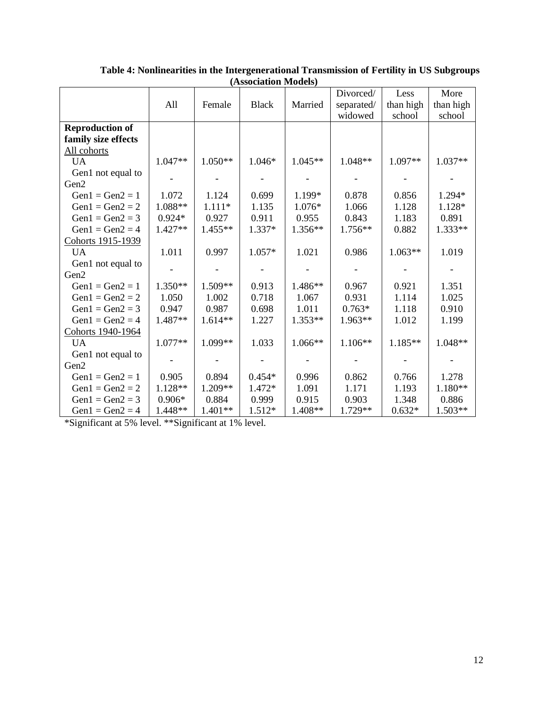|                        |           |           |              |           | Divorced/  | Less      | More      |
|------------------------|-----------|-----------|--------------|-----------|------------|-----------|-----------|
|                        | All       | Female    | <b>Black</b> | Married   | separated/ | than high | than high |
|                        |           |           |              |           | widowed    | school    | school    |
| <b>Reproduction of</b> |           |           |              |           |            |           |           |
| family size effects    |           |           |              |           |            |           |           |
| All cohorts            |           |           |              |           |            |           |           |
| <b>UA</b>              | 1.047**   | $1.050**$ | 1.046*       | 1.045**   | 1.048**    | 1.097**   | 1.037**   |
| Gen1 not equal to      |           |           |              |           |            |           |           |
| Gen2                   |           |           |              |           |            |           |           |
| $Gen1 = Gen2 = 1$      | 1.072     | 1.124     | 0.699        | 1.199*    | 0.878      | 0.856     | 1.294*    |
| $Gen1 = Gen2 = 2$      | 1.088**   | $1.111*$  | 1.135        | 1.076*    | 1.066      | 1.128     | 1.128*    |
| $Gen1 = Gen2 = 3$      | $0.924*$  | 0.927     | 0.911        | 0.955     | 0.843      | 1.183     | 0.891     |
| $Gen1 = Gen2 = 4$      | $1.427**$ | $1.455**$ | 1.337*       | $1.356**$ | 1.756**    | 0.882     | $1.333**$ |
| Cohorts 1915-1939      |           |           |              |           |            |           |           |
| <b>UA</b>              | 1.011     | 0.997     | $1.057*$     | 1.021     | 0.986      | $1.063**$ | 1.019     |
| Gen1 not equal to      |           |           |              |           |            |           |           |
| Gen2                   |           |           |              |           |            |           |           |
| $Gen1 = Gen2 = 1$      | $1.350**$ | 1.509**   | 0.913        | 1.486**   | 0.967      | 0.921     | 1.351     |
| $Gen1 = Gen2 = 2$      | 1.050     | 1.002     | 0.718        | 1.067     | 0.931      | 1.114     | 1.025     |
| $Gen1 = Gen2 = 3$      | 0.947     | 0.987     | 0.698        | 1.011     | $0.763*$   | 1.118     | 0.910     |
| $Gen1 = Gen2 = 4$      | 1.487**   | $1.614**$ | 1.227        | 1.353**   | 1.963**    | 1.012     | 1.199     |
| Cohorts 1940-1964      |           |           |              |           |            |           |           |
| <b>UA</b>              | 1.077**   | 1.099**   | 1.033        | 1.066**   | $1.106**$  | 1.185**   | 1.048**   |
| Gen1 not equal to      |           |           |              |           |            |           |           |
| Gen2                   |           |           |              |           |            |           |           |
| $Gen1 = Gen2 = 1$      | 0.905     | 0.894     | $0.454*$     | 0.996     | 0.862      | 0.766     | 1.278     |
| $Gen1 = Gen2 = 2$      | 1.128**   | 1.209**   | 1.472*       | 1.091     | 1.171      | 1.193     | 1.180**   |
| $Gen1 = Gen2 = 3$      | $0.906*$  | 0.884     | 0.999        | 0.915     | 0.903      | 1.348     | 0.886     |
| $Gen1 = Gen2 = 4$      | 1.448**   | 1.401**   | 1.512*       | 1.408**   | 1.729**    | $0.632*$  | 1.503**   |

**Table 4: Nonlinearities in the Intergenerational Transmission of Fertility in US Subgroups (Association Models)**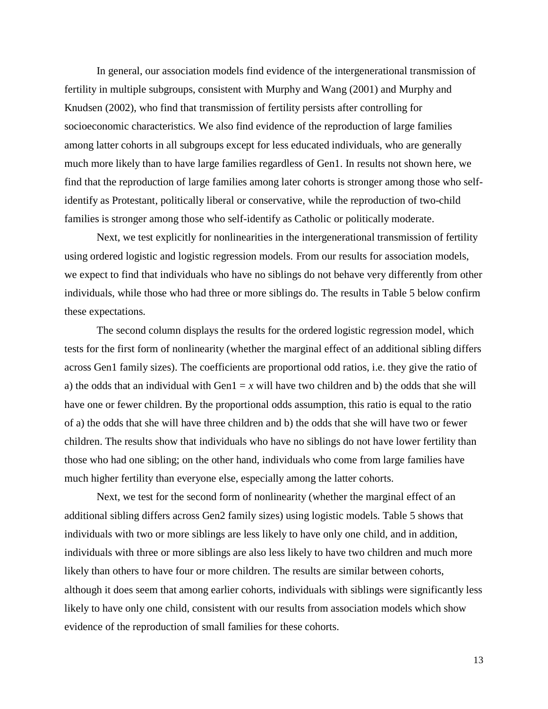In general, our association models find evidence of the intergenerational transmission of fertility in multiple subgroups, consistent with Murphy and Wang (2001) and Murphy and Knudsen (2002), who find that transmission of fertility persists after controlling for socioeconomic characteristics. We also find evidence of the reproduction of large families among latter cohorts in all subgroups except for less educated individuals, who are generally much more likely than to have large families regardless of Gen1. In results not shown here, we find that the reproduction of large families among later cohorts is stronger among those who selfidentify as Protestant, politically liberal or conservative, while the reproduction of two-child families is stronger among those who self-identify as Catholic or politically moderate.

Next, we test explicitly for nonlinearities in the intergenerational transmission of fertility using ordered logistic and logistic regression models. From our results for association models, we expect to find that individuals who have no siblings do not behave very differently from other individuals, while those who had three or more siblings do. The results in Table 5 below confirm these expectations.

The second column displays the results for the ordered logistic regression model, which tests for the first form of nonlinearity (whether the marginal effect of an additional sibling differs across Gen1 family sizes). The coefficients are proportional odd ratios, i.e. they give the ratio of a) the odds that an individual with Gen $1 = x$  will have two children and b) the odds that she will have one or fewer children. By the proportional odds assumption, this ratio is equal to the ratio of a) the odds that she will have three children and b) the odds that she will have two or fewer children. The results show that individuals who have no siblings do not have lower fertility than those who had one sibling; on the other hand, individuals who come from large families have much higher fertility than everyone else, especially among the latter cohorts.

Next, we test for the second form of nonlinearity (whether the marginal effect of an additional sibling differs across Gen2 family sizes) using logistic models. Table 5 shows that individuals with two or more siblings are less likely to have only one child, and in addition, individuals with three or more siblings are also less likely to have two children and much more likely than others to have four or more children. The results are similar between cohorts, although it does seem that among earlier cohorts, individuals with siblings were significantly less likely to have only one child, consistent with our results from association models which show evidence of the reproduction of small families for these cohorts.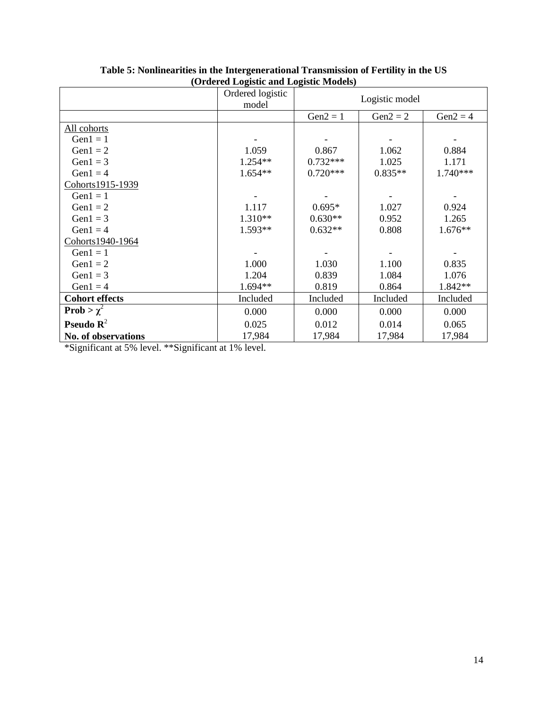|                              | (Orucrea Logistic and Logistic Models)<br>Ordered logistic<br>model | Logistic model |            |            |  |  |
|------------------------------|---------------------------------------------------------------------|----------------|------------|------------|--|--|
|                              |                                                                     | $Gen2 = 1$     | $Gen2 = 2$ | $Gen2 = 4$ |  |  |
| All cohorts                  |                                                                     |                |            |            |  |  |
| Gen $1 = 1$                  |                                                                     |                |            |            |  |  |
| Gen $1 = 2$                  | 1.059                                                               | 0.867          | 1.062      | 0.884      |  |  |
| Gen $1 = 3$                  | $1.254**$                                                           | $0.732***$     | 1.025      | 1.171      |  |  |
| Gen $1 = 4$                  | $1.654**$                                                           | $0.720***$     | $0.835**$  | $1.740***$ |  |  |
| Cohorts1915-1939             |                                                                     |                |            |            |  |  |
| Gen $1 = 1$                  |                                                                     |                |            |            |  |  |
| Gen $1 = 2$                  | 1.117                                                               | $0.695*$       | 1.027      | 0.924      |  |  |
| Gen $1 = 3$                  | $1.310**$                                                           | $0.630**$      | 0.952      | 1.265      |  |  |
| Gen $1 = 4$                  | $1.593**$                                                           | $0.632**$      | 0.808      | $1.676**$  |  |  |
| Cohorts1940-1964             |                                                                     |                |            |            |  |  |
| Gen $1 = 1$                  |                                                                     |                |            |            |  |  |
| Gen $1 = 2$                  | 1.000                                                               | 1.030          | 1.100      | 0.835      |  |  |
| Gen $1 = 3$                  | 1.204                                                               | 0.839          | 1.084      | 1.076      |  |  |
| Gen $1 = 4$                  | $1.694**$                                                           | 0.819          | 0.864      | 1.842**    |  |  |
| <b>Cohort effects</b>        | Included                                                            | Included       | Included   | Included   |  |  |
| Prob > $\chi^2$              | 0.000                                                               | 0.000          | 0.000      | 0.000      |  |  |
| <b>Pseudo</b> $\mathbb{R}^2$ | 0.025                                                               | 0.012          | 0.014      | 0.065      |  |  |
| No. of observations          | 17,984                                                              | 17,984         | 17,984     | 17,984     |  |  |

**Table 5: Nonlinearities in the Intergenerational Transmission of Fertility in the US (Ordered Logistic and Logistic Models)**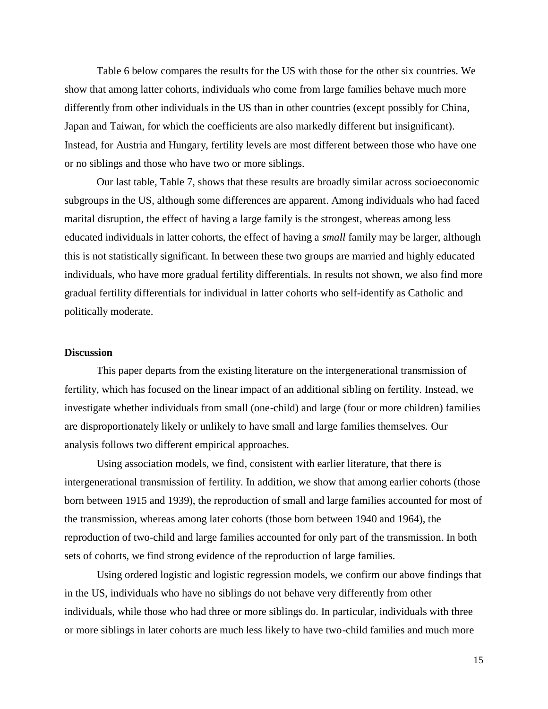Table 6 below compares the results for the US with those for the other six countries. We show that among latter cohorts, individuals who come from large families behave much more differently from other individuals in the US than in other countries (except possibly for China, Japan and Taiwan, for which the coefficients are also markedly different but insignificant). Instead, for Austria and Hungary, fertility levels are most different between those who have one or no siblings and those who have two or more siblings.

Our last table, Table 7, shows that these results are broadly similar across socioeconomic subgroups in the US, although some differences are apparent. Among individuals who had faced marital disruption, the effect of having a large family is the strongest, whereas among less educated individuals in latter cohorts, the effect of having a *small* family may be larger, although this is not statistically significant. In between these two groups are married and highly educated individuals, who have more gradual fertility differentials. In results not shown, we also find more gradual fertility differentials for individual in latter cohorts who self-identify as Catholic and politically moderate.

#### **Discussion**

This paper departs from the existing literature on the intergenerational transmission of fertility, which has focused on the linear impact of an additional sibling on fertility. Instead, we investigate whether individuals from small (one-child) and large (four or more children) families are disproportionately likely or unlikely to have small and large families themselves. Our analysis follows two different empirical approaches.

Using association models, we find, consistent with earlier literature, that there is intergenerational transmission of fertility. In addition, we show that among earlier cohorts (those born between 1915 and 1939), the reproduction of small and large families accounted for most of the transmission, whereas among later cohorts (those born between 1940 and 1964), the reproduction of two-child and large families accounted for only part of the transmission. In both sets of cohorts, we find strong evidence of the reproduction of large families.

Using ordered logistic and logistic regression models, we confirm our above findings that in the US, individuals who have no siblings do not behave very differently from other individuals, while those who had three or more siblings do. In particular, individuals with three or more siblings in later cohorts are much less likely to have two-child families and much more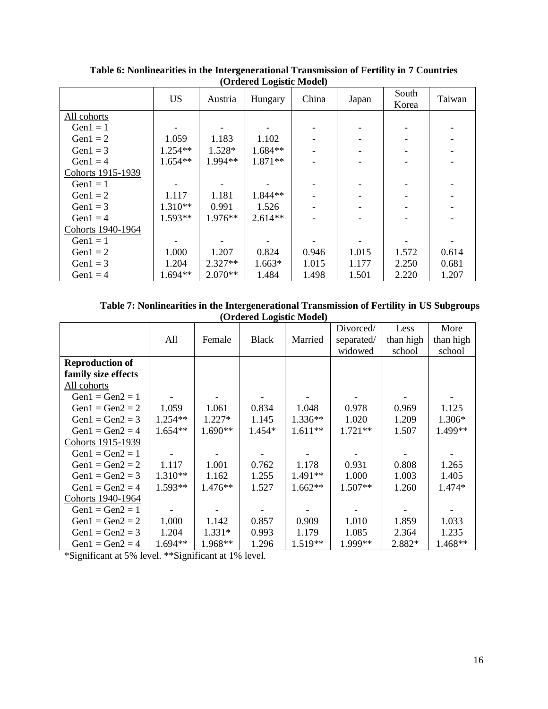|                   | <b>US</b> | Austria   | ິຕິີ<br>Hungary | China | Japan | South<br>Korea | Taiwan |
|-------------------|-----------|-----------|-----------------|-------|-------|----------------|--------|
| All cohorts       |           |           |                 |       |       |                |        |
| Gen $1 = 1$       |           |           |                 |       |       |                |        |
| Gen $1 = 2$       | 1.059     | 1.183     | 1.102           |       |       |                |        |
| Gen $1 = 3$       | 1.254**   | 1.528*    | $1.684**$       |       |       |                |        |
| $Gen1 = 4$        | $1.654**$ | 1.994**   | $1.871**$       |       |       |                |        |
| Cohorts 1915-1939 |           |           |                 |       |       |                |        |
| Gen $1 = 1$       |           |           |                 |       |       |                |        |
| Gen $1 = 2$       | 1.117     | 1.181     | $1.844**$       |       |       |                |        |
| Gen $1 = 3$       | $1.310**$ | 0.991     | 1.526           |       |       |                |        |
| Gen $1 = 4$       | $1.593**$ | $1.976**$ | $2.614**$       |       |       |                |        |
| Cohorts 1940-1964 |           |           |                 |       |       |                |        |
| $Gen1 = 1$        |           |           |                 |       |       |                |        |
| Gen $1 = 2$       | 1.000     | 1.207     | 0.824           | 0.946 | 1.015 | 1.572          | 0.614  |
| Gen $1 = 3$       | 1.204     | $2.327**$ | $1.663*$        | 1.015 | 1.177 | 2.250          | 0.681  |
| Gen $1 = 4$       | 1.694**   | $2.070**$ | 1.484           | 1.498 | 1.501 | 2.220          | 1.207  |

**Table 6: Nonlinearities in the Intergenerational Transmission of Fertility in 7 Countries (Ordered Logistic Model)**

| Table 7: Nonlinearities in the Intergenerational Transmission of Fertility in US Subgroups |  |
|--------------------------------------------------------------------------------------------|--|
| (Ordered Logistic Model)                                                                   |  |

|                        |           |           |              |           | Divorced/  | Less      | More      |
|------------------------|-----------|-----------|--------------|-----------|------------|-----------|-----------|
|                        | All       | Female    | <b>Black</b> | Married   | separated/ | than high | than high |
|                        |           |           |              |           | widowed    | school    | school    |
| <b>Reproduction of</b> |           |           |              |           |            |           |           |
| family size effects    |           |           |              |           |            |           |           |
| All cohorts            |           |           |              |           |            |           |           |
| $Gen1 = Gen2 = 1$      |           |           |              |           |            |           |           |
| $Gen1 = Gen2 = 2$      | 1.059     | 1.061     | 0.834        | 1.048     | 0.978      | 0.969     | 1.125     |
| $Gen1 = Gen2 = 3$      | $1.254**$ | $1.227*$  | 1.145        | $1.336**$ | 1.020      | 1.209     | $1.306*$  |
| $Gen1 = Gen2 = 4$      | 1.654**   | 1.690**   | 1.454*       | $1.611**$ | $1.721**$  | 1.507     | 1.499**   |
| Cohorts 1915-1939      |           |           |              |           |            |           |           |
| $Gen1 = Gen2 = 1$      |           |           |              |           |            |           |           |
| $Gen1 = Gen2 = 2$      | 1.117     | 1.001     | 0.762        | 1.178     | 0.931      | 0.808     | 1.265     |
| $Gen1 = Gen2 = 3$      | 1.310**   | 1.162     | 1.255        | $1.491**$ | 1.000      | 1.003     | 1.405     |
| $Gen1 = Gen2 = 4$      | $1.593**$ | $1.476**$ | 1.527        | $1.662**$ | $1.507**$  | 1.260     | 1.474*    |
| Cohorts 1940-1964      |           |           |              |           |            |           |           |
| $Gen1 = Gen2 = 1$      |           |           |              |           |            |           |           |
| $Gen1 = Gen2 = 2$      | 1.000     | 1.142     | 0.857        | 0.909     | 1.010      | 1.859     | 1.033     |
| $Gen1 = Gen2 = 3$      | 1.204     | $1.331*$  | 0.993        | 1.179     | 1.085      | 2.364     | 1.235     |
| $Gen1 = Gen2 = 4$      | $1.694**$ | 1.968**   | 1.296        | $1.519**$ | 1.999**    | 2.882*    | $1.468**$ |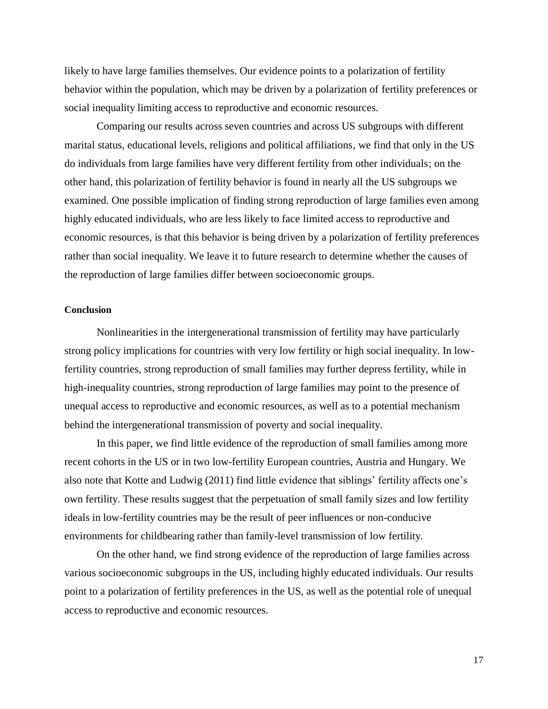likely to have large families themselves. Our evidence points to a polarization of fertility behavior within the population, which may be driven by a polarization of fertility preferences or social inequality limiting access to reproductive and economic resources.

Comparing our results across seven countries and across US subgroups with different marital status, educational levels, religions and political affiliations, we find that only in the US do individuals from large families have very different fertility from other individuals; on the other hand, this polarization of fertility behavior is found in nearly all the US subgroups we examined. One possible implication of finding strong reproduction of large families even among highly educated individuals, who are less likely to face limited access to reproductive and economic resources, is that this behavior is being driven by a polarization of fertility preferences rather than social inequality. We leave it to future research to determine whether the causes of the reproduction of large families differ between socioeconomic groups.

#### **Conclusion**

Nonlinearities in the intergenerational transmission of fertility may have particularly strong policy implications for countries with very low fertility or high social inequality. In lowfertility countries, strong reproduction of small families may further depress fertility, while in high-inequality countries, strong reproduction of large families may point to the presence of unequal access to reproductive and economic resources, as well as to a potential mechanism behind the intergenerational transmission of poverty and social inequality.

In this paper, we find little evidence of the reproduction of small families among more recent cohorts in the US or in two low-fertility European countries, Austria and Hungary. We also note that Kotte and Ludwig (2011) find little evidence that siblings' fertility affects one's own fertility. These results suggest that the perpetuation of small family sizes and low fertility ideals in low-fertility countries may be the result of peer influences or non-conducive environments for childbearing rather than family-level transmission of low fertility.

On the other hand, we find strong evidence of the reproduction of large families across various socioeconomic subgroups in the US, including highly educated individuals. Our results point to a polarization of fertility preferences in the US, as well as the potential role of unequal access to reproductive and economic resources.